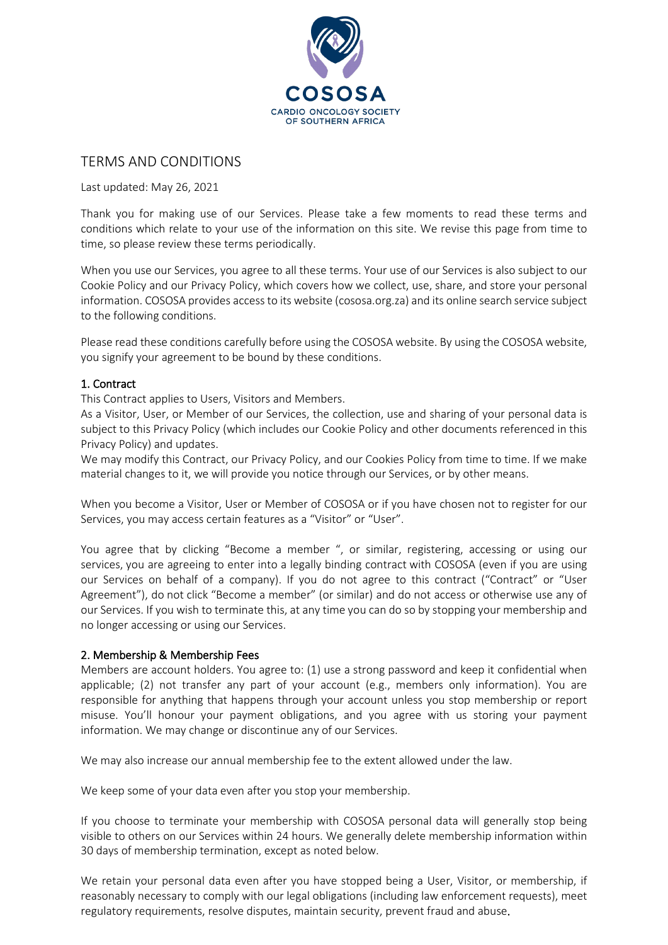

# TERMS AND CONDITIONS

Last updated: May 26, 2021

Thank you for making use of our Services. Please take a few moments to read these terms and conditions which relate to your use of the information on this site. We revise this page from time to time, so please review these terms periodically.

When you use our Services, you agree to all these terms. Your use of our Services is also subject to our Cookie Policy and our Privacy Policy, which covers how we collect, use, share, and store your personal information. COSOSA provides access to its website (cososa.org.za) and its online search service subject to the following conditions.

Please read these conditions carefully before using the COSOSA website. By using the COSOSA website, you signify your agreement to be bound by these conditions.

# 1. Contract

This Contract applies to Users, Visitors and Members.

As a Visitor, User, or Member of our Services, the collection, use and sharing of your personal data is subject to this Privacy Policy (which includes our Cookie Policy and other documents referenced in this Privacy Policy) and updates.

We may modify this Contract, our Privacy Policy, and our Cookies Policy from time to time. If we make material changes to it, we will provide you notice through our Services, or by other means.

When you become a Visitor, User or Member of COSOSA or if you have chosen not to register for our Services, you may access certain features as a "Visitor" or "User".

You agree that by clicking "Become a member ", or similar, registering, accessing or using our services, you are agreeing to enter into a legally binding contract with COSOSA (even if you are using our Services on behalf of a company). If you do not agree to this contract ("Contract" or "User Agreement"), do not click "Become a member" (or similar) and do not access or otherwise use any of our Services. If you wish to terminate this, at any time you can do so by stopping your membership and no longer accessing or using our Services.

# 2. Membership & Membership Fees

Members are account holders. You agree to: (1) use a strong password and keep it confidential when applicable; (2) not transfer any part of your account (e.g., members only information). You are responsible for anything that happens through your account unless you stop membership or report misuse. You'll honour your payment obligations, and you agree with us storing your payment information. We may change or discontinue any of our Services.

We may also increase our annual membership fee to the extent allowed under the law.

We keep some of your data even after you stop your membership.

If you choose to terminate your membership with COSOSA personal data will generally stop being visible to others on our Services within 24 hours. We generally delete membership information within 30 days of membership termination, except as noted below.

We retain your personal data even after you have stopped being a User, Visitor, or membership, if reasonably necessary to comply with our legal obligations (including law enforcement requests), meet regulatory requirements, resolve disputes, maintain security, prevent fraud and abuse.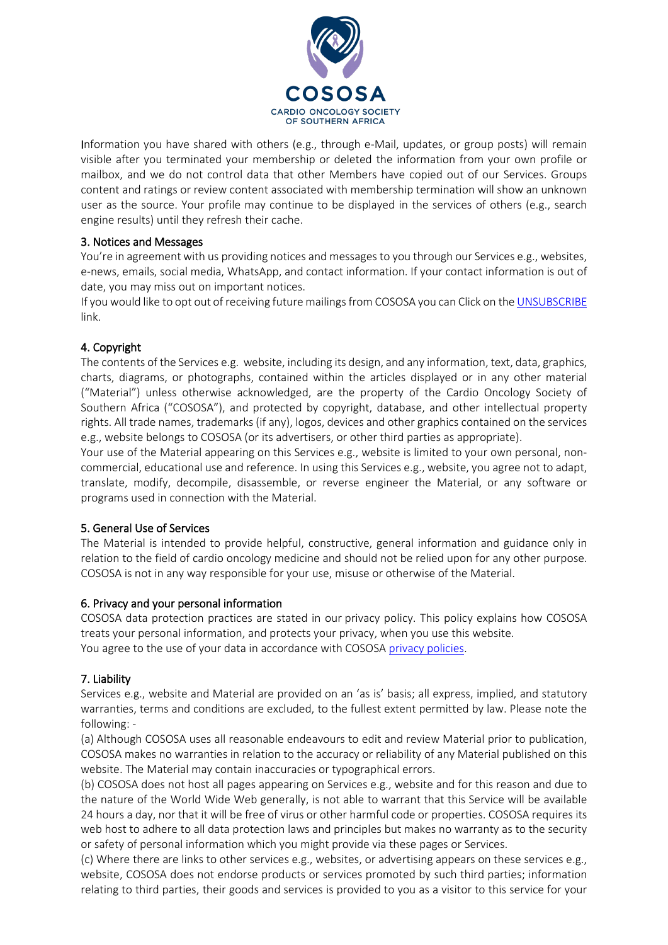

Information you have shared with others (e.g., through e-Mail, updates, or group posts) will remain visible after you terminated your membership or deleted the information from your own profile or mailbox, and we do not control data that other Members have copied out of our Services. Groups content and ratings or review content associated with membership termination will show an unknown user as the source. Your profile may continue to be displayed in the services of others (e.g., search engine results) until they refresh their cache.

# 3. Notices and Messages

You're in agreement with us providing notices and messages to you through our Services e.g., websites, e-news, emails, social media, WhatsApp, and contact information. If your contact information is out of date, you may miss out on important notices.

If you would like to opt out of receiving future mailings from COSOSA you can Click on the [UNSUBSCRIBE](https://form.jotform.com/210412183170542) link.

# 4. Copyright

The contents of the Services e.g. website, including its design, and any information, text, data, graphics, charts, diagrams, or photographs, contained within the articles displayed or in any other material ("Material") unless otherwise acknowledged, are the property of the Cardio Oncology Society of Southern Africa ("COSOSA"), and protected by copyright, database, and other intellectual property rights. All trade names, trademarks (if any), logos, devices and other graphics contained on the services e.g., website belongs to COSOSA (or its advertisers, or other third parties as appropriate).

Your use of the Material appearing on this Services e.g., website is limited to your own personal, noncommercial, educational use and reference. In using this Services e.g., website, you agree not to adapt, translate, modify, decompile, disassemble, or reverse engineer the Material, or any software or programs used in connection with the Material.

# 5. General Use of Services

The Material is intended to provide helpful, constructive, general information and guidance only in relation to the field of cardio oncology medicine and should not be relied upon for any other purpose. COSOSA is not in any way responsible for your use, misuse or otherwise of the Material.

#### 6. Privacy and your personal information

COSOSA data protection practices are stated in our [privacy policy.](https://www.medpages.info/sf/index.php?page=privacy-policy) This policy explains how COSOSA treats your personal information, and protects your privacy, when you use this website. You agree to the use of your data in accordance with COSOSA [privacy policies.](https://cososa.org.za/privacy-policy-2/)

#### 7. Liability

Services e.g., website and Material are provided on an 'as is' basis; all express, implied, and statutory warranties, terms and conditions are excluded, to the fullest extent permitted by law. Please note the following: -

(a) Although COSOSA uses all reasonable endeavours to edit and review Material prior to publication, COSOSA makes no warranties in relation to the accuracy or reliability of any Material published on this website. The Material may contain inaccuracies or typographical errors.

(b) COSOSA does not host all pages appearing on Services e.g., website and for this reason and due to the nature of the World Wide Web generally, is not able to warrant that this Service will be available 24 hours a day, nor that it will be free of virus or other harmful code or properties. COSOSA requires its web host to adhere to all data protection laws and principles but makes no warranty as to the security or safety of personal information which you might provide via these pages or Services.

(c) Where there are links to other services e.g., websites, or advertising appears on these services e.g., website, COSOSA does not endorse products or services promoted by such third parties; information relating to third parties, their goods and services is provided to you as a visitor to this service for your